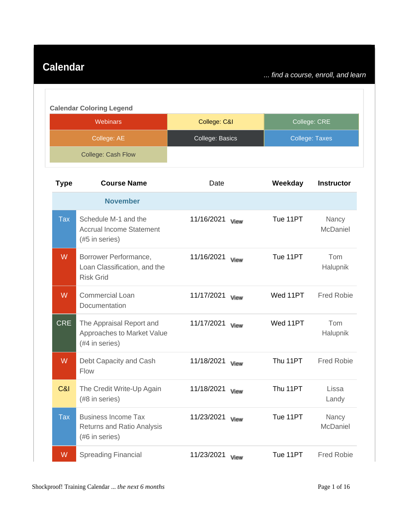## **Calendar**

... find a course, enroll, and learn

| <b>Calendar Coloring Legend</b> |                 |                       |  |  |  |
|---------------------------------|-----------------|-----------------------|--|--|--|
| <b>Webinars</b>                 | College: C&I    | College: CRE          |  |  |  |
| College: AE                     | College: Basics | <b>College: Taxes</b> |  |  |  |
| <b>College: Cash Flow</b>       |                 |                       |  |  |  |

| <b>Type</b> | <b>Course Name</b>                                                                | Date                       | Weekday  | <b>Instructor</b> |
|-------------|-----------------------------------------------------------------------------------|----------------------------|----------|-------------------|
|             | <b>November</b>                                                                   |                            |          |                   |
| <b>Tax</b>  | Schedule M-1 and the<br><b>Accrual Income Statement</b><br>(#5 in series)         | 11/16/2021<br>View         | Tue 11PT | Nancy<br>McDaniel |
| W           | Borrower Performance,<br>Loan Classification, and the<br><b>Risk Grid</b>         | 11/16/2021<br>View         | Tue 11PT | Tom<br>Halupnik   |
| W           | <b>Commercial Loan</b><br>Documentation                                           | 11/17/2021<br>View         | Wed 11PT | <b>Fred Robie</b> |
| <b>CRE</b>  | The Appraisal Report and<br>Approaches to Market Value<br>(#4 in series)          | 11/17/2021 <sub>View</sub> | Wed 11PT | Tom<br>Halupnik   |
| W           | Debt Capacity and Cash<br><b>Flow</b>                                             | 11/18/2021<br>View         | Thu 11PT | <b>Fred Robie</b> |
| C&I         | The Credit Write-Up Again<br>(#8 in series)                                       | 11/18/2021<br>View         | Thu 11PT | Lissa<br>Landy    |
| <b>Tax</b>  | <b>Business Income Tax</b><br><b>Returns and Ratio Analysis</b><br>(#6 in series) | 11/23/2021 Mew             | Tue 11PT | Nancy<br>McDaniel |
| W           | <b>Spreading Financial</b>                                                        | 11/23/2021<br>View         | Tue 11PT | <b>Fred Robie</b> |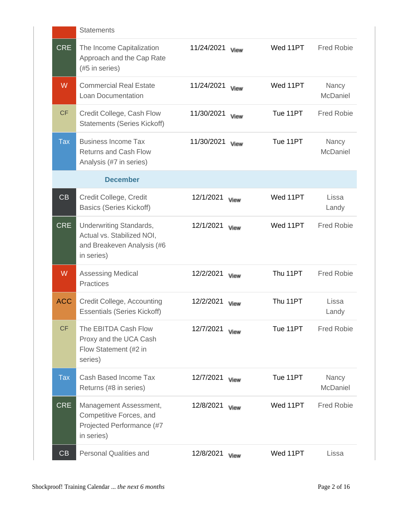|                         | <b>Statements</b>                                                                                 |                            |          |                   |
|-------------------------|---------------------------------------------------------------------------------------------------|----------------------------|----------|-------------------|
| <b>CRE</b>              | The Income Capitalization<br>Approach and the Cap Rate<br>(#5 in series)                          | 11/24/2021 Mew             | Wed 11PT | <b>Fred Robie</b> |
| W                       | <b>Commercial Real Estate</b><br><b>Loan Documentation</b>                                        | 11/24/2021<br>View         | Wed 11PT | Nancy<br>McDaniel |
| <b>CF</b>               | Credit College, Cash Flow<br><b>Statements (Series Kickoff)</b>                                   | 11/30/2021<br>View         | Tue 11PT | <b>Fred Robie</b> |
| $\overline{\text{Tax}}$ | <b>Business Income Tax</b><br><b>Returns and Cash Flow</b><br>Analysis (#7 in series)             | 11/30/2021 <sub>View</sub> | Tue 11PT | Nancy<br>McDaniel |
|                         | <b>December</b>                                                                                   |                            |          |                   |
| CB                      | Credit College, Credit<br><b>Basics (Series Kickoff)</b>                                          | 12/1/2021 Mew              | Wed 11PT | Lissa<br>Landy    |
| <b>CRE</b>              | Underwriting Standards,<br>Actual vs. Stabilized NOI,<br>and Breakeven Analysis (#6<br>in series) | 12/1/2021 Mew              | Wed 11PT | <b>Fred Robie</b> |
| W                       | <b>Assessing Medical</b><br>Practices                                                             | 12/2/2021<br>View          | Thu 11PT | <b>Fred Robie</b> |
| <b>ACC</b>              | Credit College, Accounting<br><b>Essentials (Series Kickoff)</b>                                  | 12/2/2021 Mew              | Thu 11PT | Lissa<br>Landy    |
| <b>CF</b>               | The EBITDA Cash Flow<br>Proxy and the UCA Cash<br>Flow Statement (#2 in<br>series)                | 12/7/2021 <sub>View</sub>  | Tue 11PT | <b>Fred Robie</b> |
| <b>Tax</b>              | Cash Based Income Tax<br>Returns (#8 in series)                                                   | 12/7/2021<br>View          | Tue 11PT | Nancy<br>McDaniel |
| <b>CRE</b>              | Management Assessment,<br>Competitive Forces, and<br>Projected Performance (#7<br>in series)      | 12/8/2021<br>View          | Wed 11PT | <b>Fred Robie</b> |
| CB                      | Personal Qualities and                                                                            | 12/8/2021<br>View          | Wed 11PT | Lissa             |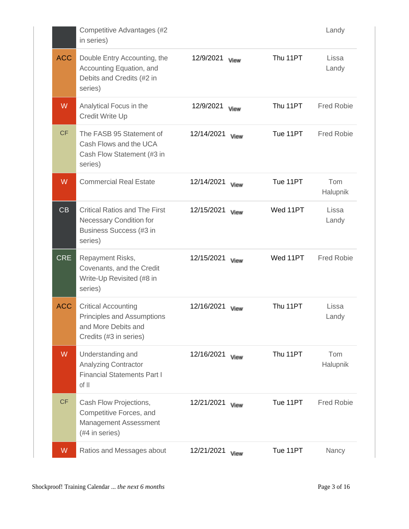|                         | Competitive Advantages (#2<br>in series)                                                                         |                    |          | Landy             |
|-------------------------|------------------------------------------------------------------------------------------------------------------|--------------------|----------|-------------------|
| <b>ACC</b>              | Double Entry Accounting, the<br>Accounting Equation, and<br>Debits and Credits (#2 in<br>series)                 | 12/9/2021<br>View  | Thu 11PT | Lissa<br>Landy    |
| W                       | Analytical Focus in the<br>Credit Write Up                                                                       | 12/9/2021<br>View  | Thu 11PT | <b>Fred Robie</b> |
| <b>CF</b>               | The FASB 95 Statement of<br>Cash Flows and the UCA<br>Cash Flow Statement (#3 in<br>series)                      | 12/14/2021 Mew     | Tue 11PT | <b>Fred Robie</b> |
| W                       | <b>Commercial Real Estate</b>                                                                                    | 12/14/2021<br>View | Tue 11PT | Tom<br>Halupnik   |
| CB                      | <b>Critical Ratios and The First</b><br><b>Necessary Condition for</b><br>Business Success (#3 in<br>series)     | 12/15/2021<br>View | Wed 11PT | Lissa<br>Landy    |
| <b>CRE</b>              | Repayment Risks,<br>Covenants, and the Credit<br>Write-Up Revisited (#8 in<br>series)                            | 12/15/2021<br>View | Wed 11PT | <b>Fred Robie</b> |
| <b>ACC</b>              | <b>Critical Accounting</b><br><b>Principles and Assumptions</b><br>and More Debits and<br>Credits (#3 in series) | 12/16/2021<br>View | Thu 11PT | Lissa<br>Landy    |
| W                       | Understanding and<br><b>Analyzing Contractor</b><br><b>Financial Statements Part I</b><br>of II                  | 12/16/2021<br>View | Thu 11PT | Tom<br>Halupnik   |
| CF                      | Cash Flow Projections,<br>Competitive Forces, and<br>Management Assessment<br>(#4 in series)                     | 12/21/2021<br>View | Tue 11PT | <b>Fred Robie</b> |
| $\overline{\mathsf{W}}$ | Ratios and Messages about                                                                                        | 12/21/2021<br>View | Tue 11PT | Nancy             |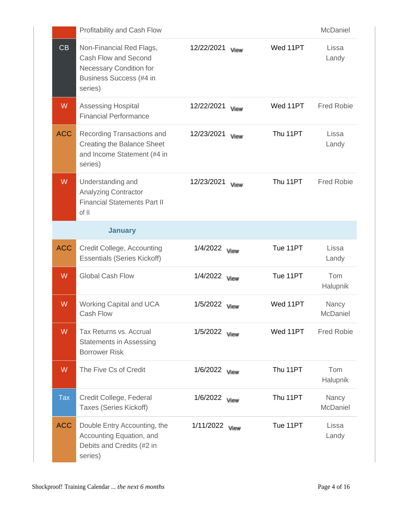|            | Profitability and Cash Flow                                                                                       |                           |          | McDaniel                 |
|------------|-------------------------------------------------------------------------------------------------------------------|---------------------------|----------|--------------------------|
| CB         | Non-Financial Red Flags,<br>Cash Flow and Second<br>Necessary Condition for<br>Business Success (#4 in<br>series) | 12/22/2021 view           | Wed 11PT | Lissa<br>Landy           |
| W          | <b>Assessing Hospital</b><br><b>Financial Performance</b>                                                         | 12/22/2021<br>View        | Wed 11PT | <b>Fred Robie</b>        |
| <b>ACC</b> | Recording Transactions and<br><b>Creating the Balance Sheet</b><br>and Income Statement (#4 in<br>series)         | 12/23/2021 Mew            | Thu 11PT | Lissa<br>Landy           |
| W          | Understanding and<br><b>Analyzing Contractor</b><br><b>Financial Statements Part II</b><br>of II                  | 12/23/2021<br>View        | Thu 11PT | <b>Fred Robie</b>        |
|            | <b>January</b>                                                                                                    |                           |          |                          |
| <b>ACC</b> | Credit College, Accounting<br><b>Essentials (Series Kickoff)</b>                                                  | 1/4/2022 <sub>View</sub>  | Tue 11PT | Lissa<br>Landy           |
| W          | <b>Global Cash Flow</b>                                                                                           | 1/4/2022 <sub>View</sub>  | Tue 11PT | Tom<br>Halupnik          |
| W          | <b>Working Capital and UCA</b><br><b>Cash Flow</b>                                                                | 1/5/2022 <sub>View</sub>  | Wed 11PT | Nancy<br><b>McDaniel</b> |
| W          | Tax Returns vs. Accrual<br><b>Statements in Assessing</b><br><b>Borrower Risk</b>                                 | 1/5/2022 <sub>View</sub>  | Wed 11PT | <b>Fred Robie</b>        |
| W          | The Five Cs of Credit                                                                                             | 1/6/2022 <sub>View</sub>  | Thu 11PT | Tom<br>Halupnik          |
| <b>Tax</b> | Credit College, Federal<br><b>Taxes (Series Kickoff)</b>                                                          | 1/6/2022 <sub>View</sub>  | Thu 11PT | Nancy<br><b>McDaniel</b> |
| <b>ACC</b> | Double Entry Accounting, the<br>Accounting Equation, and<br>Debits and Credits (#2 in<br>series)                  | 1/11/2022 <sub>View</sub> | Tue 11PT | Lissa<br>Landy           |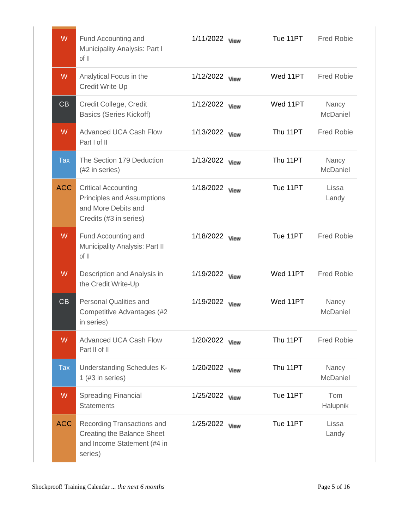| W              | Fund Accounting and<br>Municipality Analysis: Part I<br>of II                                                    | 1/11/2022 <sub>View</sub> | Tue 11PT | <b>Fred Robie</b> |
|----------------|------------------------------------------------------------------------------------------------------------------|---------------------------|----------|-------------------|
| W              | Analytical Focus in the<br><b>Credit Write Up</b>                                                                | 1/12/2022 Mew             | Wed 11PT | <b>Fred Robie</b> |
| CB             | Credit College, Credit<br><b>Basics (Series Kickoff)</b>                                                         | 1/12/2022 Miew            | Wed 11PT | Nancy<br>McDaniel |
| W              | <b>Advanced UCA Cash Flow</b><br>Part I of II                                                                    | 1/13/2022 <sub>View</sub> | Thu 11PT | <b>Fred Robie</b> |
| <b>Tax</b>     | The Section 179 Deduction<br>(#2 in series)                                                                      | 1/13/2022 Miew            | Thu 11PT | Nancy<br>McDaniel |
| <b>ACC</b>     | <b>Critical Accounting</b><br><b>Principles and Assumptions</b><br>and More Debits and<br>Credits (#3 in series) | 1/18/2022 <sub>View</sub> | Tue 11PT | Lissa<br>Landy    |
| W              | Fund Accounting and<br>Municipality Analysis: Part II<br>of II                                                   | 1/18/2022 <sub>View</sub> | Tue 11PT | <b>Fred Robie</b> |
| W              | Description and Analysis in<br>the Credit Write-Up                                                               | 1/19/2022 Mew             | Wed 11PT | <b>Fred Robie</b> |
| C <sub>B</sub> | <b>Personal Qualities and</b><br>Competitive Advantages (#2)<br>in series)                                       | 1/19/2022 Mew             | Wed 11PT | Nancy<br>McDaniel |
| W              | <b>Advanced UCA Cash Flow</b><br>Part II of II                                                                   | 1/20/2022 <sub>View</sub> | Thu 11PT | <b>Fred Robie</b> |
| Tax            | <b>Understanding Schedules K-</b><br>1 (#3 in series)                                                            | 1/20/2022<br>View         | Thu 11PT | Nancy<br>McDaniel |
| W              | <b>Spreading Financial</b><br><b>Statements</b>                                                                  | 1/25/2022<br>View         | Tue 11PT | Tom<br>Halupnik   |
| <b>ACC</b>     | Recording Transactions and<br><b>Creating the Balance Sheet</b><br>and Income Statement (#4 in<br>series)        | 1/25/2022 Mew             | Tue 11PT | Lissa<br>Landy    |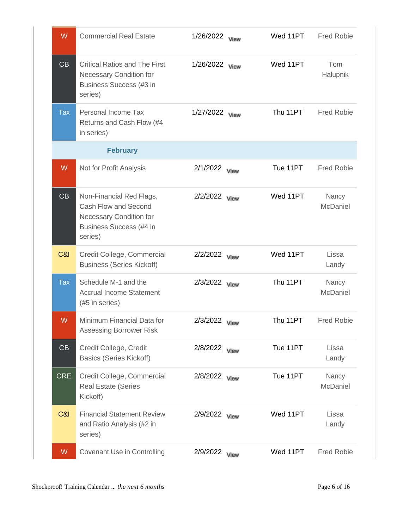| W          | <b>Commercial Real Estate</b>                                                                                            | 1/26/2022 <sub>View</sub> | Wed 11PT | <b>Fred Robie</b>      |
|------------|--------------------------------------------------------------------------------------------------------------------------|---------------------------|----------|------------------------|
| CB         | <b>Critical Ratios and The First</b><br><b>Necessary Condition for</b><br>Business Success (#3 in<br>series)             | 1/26/2022 <sub>View</sub> | Wed 11PT | <b>Tom</b><br>Halupnik |
| <b>Tax</b> | Personal Income Tax<br>Returns and Cash Flow (#4<br>in series)                                                           | 1/27/2022 <sub>View</sub> | Thu 11PT | <b>Fred Robie</b>      |
|            | <b>February</b>                                                                                                          |                           |          |                        |
| W          | Not for Profit Analysis                                                                                                  | 2/1/2022 <sub>View</sub>  | Tue 11PT | <b>Fred Robie</b>      |
| CB         | Non-Financial Red Flags,<br>Cash Flow and Second<br><b>Necessary Condition for</b><br>Business Success (#4 in<br>series) | 2/2/2022 <sub>View</sub>  | Wed 11PT | Nancy<br>McDaniel      |
| C&I        | Credit College, Commercial<br><b>Business (Series Kickoff)</b>                                                           | 2/2/2022 <sub>View</sub>  | Wed 11PT | Lissa<br>Landy         |
|            |                                                                                                                          |                           |          |                        |
| <b>Tax</b> | Schedule M-1 and the<br><b>Accrual Income Statement</b><br>(#5 in series)                                                | 2/3/2022 <sub>View</sub>  | Thu 11PT | Nancy<br>McDaniel      |
| W          | Minimum Financial Data for<br><b>Assessing Borrower Risk</b>                                                             | 2/3/2022 <sub>View</sub>  | Thu 11PT | <b>Fred Robie</b>      |
| CB         | Credit College, Credit<br><b>Basics (Series Kickoff)</b>                                                                 | 2/8/2022 <sub>View</sub>  | Tue 11PT | Lissa<br>Landy         |
| <b>CRE</b> | Credit College, Commercial<br><b>Real Estate (Series</b><br>Kickoff)                                                     | 2/8/2022 <sub>View</sub>  | Tue 11PT | Nancy<br>McDaniel      |
| C&I        | <b>Financial Statement Review</b><br>and Ratio Analysis (#2 in<br>series)                                                | 2/9/2022 <sub>View</sub>  | Wed 11PT | Lissa<br>Landy         |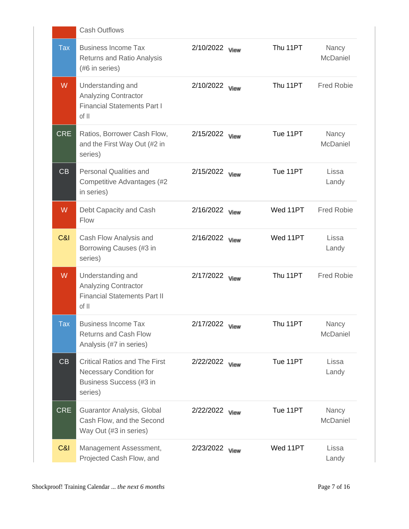|                         | <b>Cash Outflows</b>                                                                                         |                           |          |                   |
|-------------------------|--------------------------------------------------------------------------------------------------------------|---------------------------|----------|-------------------|
| $\overline{\text{Tax}}$ | <b>Business Income Tax</b><br><b>Returns and Ratio Analysis</b><br>(#6 in series)                            | 2/10/2022 <sub>View</sub> | Thu 11PT | Nancy<br>McDaniel |
| W.                      | Understanding and<br><b>Analyzing Contractor</b><br><b>Financial Statements Part I</b><br>of II              | 2/10/2022 <sub>View</sub> | Thu 11PT | <b>Fred Robie</b> |
| <b>CRE</b>              | Ratios, Borrower Cash Flow,<br>and the First Way Out (#2 in<br>series)                                       | 2/15/2022 <sub>View</sub> | Tue 11PT | Nancy<br>McDaniel |
| CB                      | Personal Qualities and<br>Competitive Advantages (#2<br>in series)                                           | 2/15/2022<br>View         | Tue 11PT | Lissa<br>Landy    |
| W                       | Debt Capacity and Cash<br>Flow                                                                               | 2/16/2022 Mew             | Wed 11PT | <b>Fred Robie</b> |
| C&I                     | Cash Flow Analysis and<br>Borrowing Causes (#3 in<br>series)                                                 | 2/16/2022 <sub>View</sub> | Wed 11PT | Lissa<br>Landy    |
| W.                      | Understanding and<br><b>Analyzing Contractor</b><br><b>Financial Statements Part II</b><br>of II             | 2/17/2022 <sub>View</sub> | Thu 11PT | <b>Fred Robie</b> |
| Tax                     | <b>Business Income Tax</b><br><b>Returns and Cash Flow</b><br>Analysis (#7 in series)                        | 2/17/2022 View            | Thu 11PT | Nancy<br>McDaniel |
| CB                      | <b>Critical Ratios and The First</b><br><b>Necessary Condition for</b><br>Business Success (#3 in<br>series) | 2/22/2022 <sub>View</sub> | Tue 11PT | Lissa<br>Landy    |
| <b>CRE</b>              | Guarantor Analysis, Global<br>Cash Flow, and the Second<br>Way Out (#3 in series)                            | 2/22/2022 <sub>View</sub> | Tue 11PT | Nancy<br>McDaniel |
| C&I                     | Management Assessment,<br>Projected Cash Flow, and                                                           | 2/23/2022<br>View         | Wed 11PT | Lissa<br>Landy    |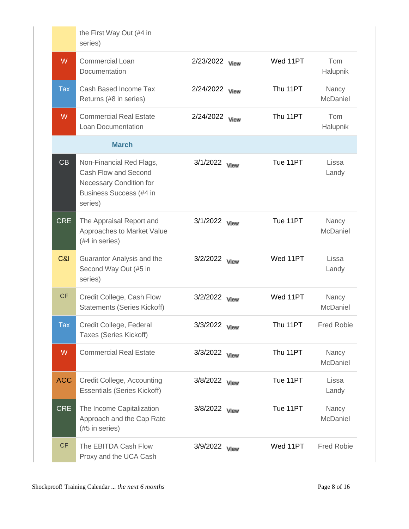|                         | the First Way Out (#4 in<br>series)                                                                                      |                           |          |                          |
|-------------------------|--------------------------------------------------------------------------------------------------------------------------|---------------------------|----------|--------------------------|
| W                       | <b>Commercial Loan</b><br>Documentation                                                                                  | 2/23/2022 View            | Wed 11PT | Tom<br>Halupnik          |
| $\overline{\text{Tax}}$ | Cash Based Income Tax<br>Returns (#8 in series)                                                                          | 2/24/2022 <sub>View</sub> | Thu 11PT | Nancy<br><b>McDaniel</b> |
| W                       | <b>Commercial Real Estate</b><br><b>Loan Documentation</b>                                                               | 2/24/2022 <sub>View</sub> | Thu 11PT | Tom<br>Halupnik          |
|                         | <b>March</b>                                                                                                             |                           |          |                          |
| C <sub>B</sub>          | Non-Financial Red Flags,<br>Cash Flow and Second<br><b>Necessary Condition for</b><br>Business Success (#4 in<br>series) | 3/1/2022 <sub>View</sub>  | Tue 11PT | Lissa<br>Landy           |
| <b>CRE</b>              | The Appraisal Report and<br>Approaches to Market Value<br>(#4 in series)                                                 | 3/1/2022 <sub>View</sub>  | Tue 11PT | Nancy<br>McDaniel        |
| C&I                     | Guarantor Analysis and the<br>Second Way Out (#5 in<br>series)                                                           | 3/2/2022 <sub>View</sub>  | Wed 11PT | Lissa<br>Landy           |
| <b>CF</b>               | Credit College, Cash Flow<br><b>Statements (Series Kickoff)</b>                                                          | 3/2/2022 <sub>View</sub>  | Wed 11PT | Nancy<br>McDaniel        |
| Tax                     | Credit College, Federal<br><b>Taxes (Series Kickoff)</b>                                                                 | 3/3/2022 View             | Thu 11PT | <b>Fred Robie</b>        |
| W                       | <b>Commercial Real Estate</b>                                                                                            | 3/3/2022 <sub>View</sub>  | Thu 11PT | Nancy<br>McDaniel        |
| <b>ACC</b>              | Credit College, Accounting<br><b>Essentials (Series Kickoff)</b>                                                         | 3/8/2022 <sub>View</sub>  | Tue 11PT | Lissa<br>Landy           |
| <b>CRE</b>              | The Income Capitalization<br>Approach and the Cap Rate<br>(#5 in series)                                                 | 3/8/2022 <sub>View</sub>  | Tue 11PT | Nancy<br>McDaniel        |
| <b>CF</b>               | The EBITDA Cash Flow<br>Proxy and the UCA Cash                                                                           | 3/9/2022 <sub>View</sub>  | Wed 11PT | <b>Fred Robie</b>        |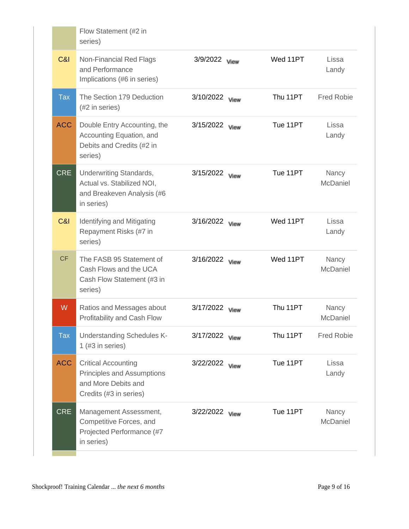|            | Flow Statement (#2 in<br>series)                                                                                 |                           |          |                          |
|------------|------------------------------------------------------------------------------------------------------------------|---------------------------|----------|--------------------------|
| C&I        | Non-Financial Red Flags<br>and Performance<br>Implications (#6 in series)                                        | 3/9/2022 <sub>View</sub>  | Wed 11PT | Lissa<br>Landy           |
| <b>Tax</b> | The Section 179 Deduction<br>(#2 in series)                                                                      | 3/10/2022 <sub>View</sub> | Thu 11PT | <b>Fred Robie</b>        |
| <b>ACC</b> | Double Entry Accounting, the<br>Accounting Equation, and<br>Debits and Credits (#2 in<br>series)                 | 3/15/2022 Mew             | Tue 11PT | Lissa<br>Landy           |
| <b>CRE</b> | Underwriting Standards,<br>Actual vs. Stabilized NOI,<br>and Breakeven Analysis (#6<br>in series)                | 3/15/2022<br>View         | Tue 11PT | Nancy<br>McDaniel        |
| C&I        | Identifying and Mitigating<br>Repayment Risks (#7 in<br>series)                                                  | 3/16/2022 Mew             | Wed 11PT | Lissa<br>Landy           |
| <b>CF</b>  | The FASB 95 Statement of<br>Cash Flows and the UCA<br>Cash Flow Statement (#3 in<br>series)                      | 3/16/2022 <sub>View</sub> | Wed 11PT | Nancy<br><b>McDaniel</b> |
| W          | Ratios and Messages about<br>Profitability and Cash Flow                                                         | 3/17/2022 Mew             | Thu 11PT | Nancy<br>McDaniel        |
| <b>Tax</b> | <b>Understanding Schedules K-</b><br>1 (#3 in series)                                                            | 3/17/2022 Mew             | Thu 11PT | <b>Fred Robie</b>        |
| <b>ACC</b> | <b>Critical Accounting</b><br><b>Principles and Assumptions</b><br>and More Debits and<br>Credits (#3 in series) | 3/22/2022 <sub>View</sub> | Tue 11PT | Lissa<br>Landy           |
| <b>CRE</b> | Management Assessment,<br>Competitive Forces, and<br>Projected Performance (#7<br>in series)                     | 3/22/2022 Mew             | Tue 11PT | Nancy<br>McDaniel        |
|            |                                                                                                                  |                           |          |                          |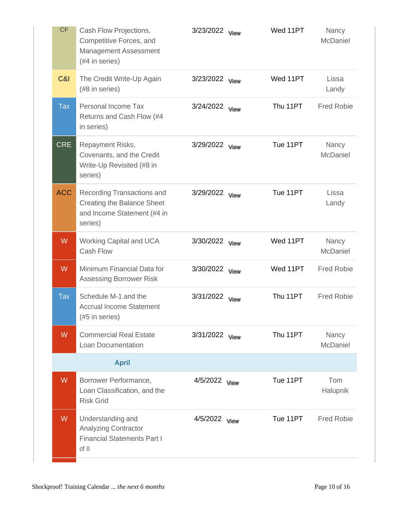| <b>CF</b>  | Cash Flow Projections,<br>Competitive Forces, and<br><b>Management Assessment</b><br>(#4 in series)       | 3/23/2022 <sub>Mew</sub>  | Wed 11PT | Nancy<br>McDaniel        |
|------------|-----------------------------------------------------------------------------------------------------------|---------------------------|----------|--------------------------|
| C&I        | The Credit Write-Up Again<br>(#8 in series)                                                               | 3/23/2022 Mew             | Wed 11PT | Lissa<br>Landy           |
| Tax        | Personal Income Tax<br>Returns and Cash Flow (#4<br>in series)                                            | 3/24/2022 <sub>View</sub> | Thu 11PT | <b>Fred Robie</b>        |
| <b>CRE</b> | Repayment Risks,<br>Covenants, and the Credit<br>Write-Up Revisited (#8 in<br>series)                     | 3/29/2022 <sub>View</sub> | Tue 11PT | Nancy<br>McDaniel        |
| <b>ACC</b> | Recording Transactions and<br><b>Creating the Balance Sheet</b><br>and Income Statement (#4 in<br>series) | 3/29/2022 <sub>View</sub> | Tue 11PT | Lissa<br>Landy           |
| W          | <b>Working Capital and UCA</b><br><b>Cash Flow</b>                                                        | 3/30/2022 Mew             | Wed 11PT | Nancy<br>McDaniel        |
| W          | Minimum Financial Data for<br><b>Assessing Borrower Risk</b>                                              | 3/30/2022 <sub>View</sub> | Wed 11PT | <b>Fred Robie</b>        |
| Tax        | Schedule M-1 and the<br><b>Accrual Income Statement</b><br>(#5 in series)                                 | 3/31/2022 <sub>View</sub> | Thu 11PT | <b>Fred Robie</b>        |
| W          | <b>Commercial Real Estate</b><br><b>Loan Documentation</b>                                                | 3/31/2022 Mew             | Thu 11PT | Nancy<br><b>McDaniel</b> |
|            | <b>April</b>                                                                                              |                           |          |                          |
| W          | Borrower Performance,<br>Loan Classification, and the<br><b>Risk Grid</b>                                 | 4/5/2022 <sub>View</sub>  | Tue 11PT | Tom<br>Halupnik          |
| W          | Understanding and<br><b>Analyzing Contractor</b><br><b>Financial Statements Part I</b><br>of II           | 4/5/2022 <sub>View</sub>  | Tue 11PT | <b>Fred Robie</b>        |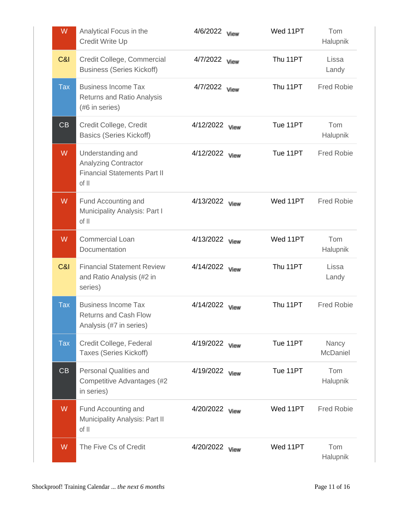| W                        | Analytical Focus in the<br><b>Credit Write Up</b>                                                | 4/6/2022 <sub>View</sub>  | Wed 11PT | Tom<br>Halupnik   |
|--------------------------|--------------------------------------------------------------------------------------------------|---------------------------|----------|-------------------|
| C&I                      | Credit College, Commercial<br><b>Business (Series Kickoff)</b>                                   | 4/7/2022 <sub>View</sub>  | Thu 11PT | Lissa<br>Landy    |
| <b>Tax</b>               | <b>Business Income Tax</b><br><b>Returns and Ratio Analysis</b><br>(#6 in series)                | 4/7/2022 <sub>View</sub>  | Thu 11PT | <b>Fred Robie</b> |
| $\overline{\texttt{CB}}$ | Credit College, Credit<br><b>Basics (Series Kickoff)</b>                                         | 4/12/2022 <sub>View</sub> | Tue 11PT | Tom<br>Halupnik   |
| W                        | Understanding and<br><b>Analyzing Contractor</b><br><b>Financial Statements Part II</b><br>of II | 4/12/2022 Miew            | Tue 11PT | <b>Fred Robie</b> |
| W                        | Fund Accounting and<br>Municipality Analysis: Part I<br>of II                                    | 4/13/2022<br>View         | Wed 11PT | <b>Fred Robie</b> |
| W                        | <b>Commercial Loan</b><br>Documentation                                                          | 4/13/2022 Mew             | Wed 11PT | Tom<br>Halupnik   |
| C&I                      | <b>Financial Statement Review</b><br>and Ratio Analysis (#2 in<br>series)                        | 4/14/2022 <sub>View</sub> | Thu 11PT | Lissa<br>Landy    |
| <b>Tax</b>               | <b>Business Income Tax</b><br><b>Returns and Cash Flow</b><br>Analysis (#7 in series)            | 4/14/2022 Mew             | Thu 11PT | <b>Fred Robie</b> |
| <b>Tax</b>               | Credit College, Federal<br><b>Taxes (Series Kickoff)</b>                                         | 4/19/2022 Miew            | Tue 11PT | Nancy<br>McDaniel |
| CB                       | <b>Personal Qualities and</b><br>Competitive Advantages (#2<br>in series)                        | 4/19/2022 Mew             | Tue 11PT | Tom<br>Halupnik   |
| W                        | Fund Accounting and<br>Municipality Analysis: Part II<br>of II                                   | 4/20/2022 Mew             | Wed 11PT | <b>Fred Robie</b> |
| W                        | The Five Cs of Credit                                                                            | 4/20/2022 Mew             | Wed 11PT | Tom<br>Halupnik   |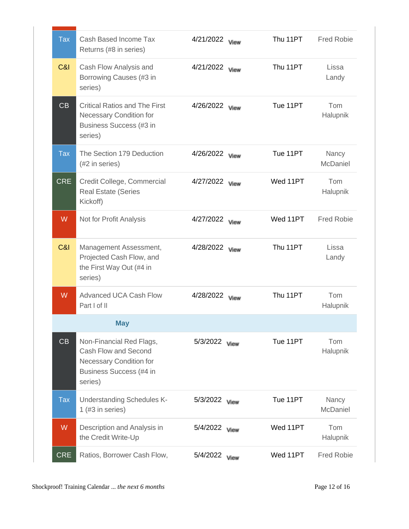| <b>Tax</b> | Cash Based Income Tax<br>Returns (#8 in series)                                                                          | 4/21/2022 <sub>Mew</sub>  | Thu 11PT | <b>Fred Robie</b> |
|------------|--------------------------------------------------------------------------------------------------------------------------|---------------------------|----------|-------------------|
| C&I        | Cash Flow Analysis and<br>Borrowing Causes (#3 in<br>series)                                                             | 4/21/2022 Mew             | Thu 11PT | Lissa<br>Landy    |
| CB         | <b>Critical Ratios and The First</b><br><b>Necessary Condition for</b><br>Business Success (#3 in<br>series)             | 4/26/2022 Mew             | Tue 11PT | Tom<br>Halupnik   |
| <b>Tax</b> | The Section 179 Deduction<br>(#2 in series)                                                                              | 4/26/2022 Mew             | Tue 11PT | Nancy<br>McDaniel |
| <b>CRE</b> | Credit College, Commercial<br><b>Real Estate (Series</b><br>Kickoff)                                                     | 4/27/2022 Mew             | Wed 11PT | Tom<br>Halupnik   |
| W          | Not for Profit Analysis                                                                                                  | 4/27/2022 <sub>View</sub> | Wed 11PT | <b>Fred Robie</b> |
| C&I        | Management Assessment,<br>Projected Cash Flow, and<br>the First Way Out (#4 in<br>series)                                | 4/28/2022 Mew             | Thu 11PT | Lissa<br>Landy    |
| W          | <b>Advanced UCA Cash Flow</b><br>Part I of II                                                                            | 4/28/2022 Mew             | Thu 11PT | Tom<br>Halupnik   |
|            | <b>May</b>                                                                                                               |                           |          |                   |
| CB         | Non-Financial Red Flags,<br>Cash Flow and Second<br><b>Necessary Condition for</b><br>Business Success (#4 in<br>series) | 5/3/2022 <sub>View</sub>  | Tue 11PT | Tom<br>Halupnik   |
| <b>Tax</b> | <b>Understanding Schedules K-</b><br>1 (#3 in series)                                                                    | 5/3/2022 <sub>View</sub>  | Tue 11PT | Nancy<br>McDaniel |
| W          | Description and Analysis in<br>the Credit Write-Up                                                                       | 5/4/2022 <sub>View</sub>  | Wed 11PT | Tom<br>Halupnik   |
| <b>CRE</b> | Ratios, Borrower Cash Flow,                                                                                              | 5/4/2022<br>View          | Wed 11PT | <b>Fred Robie</b> |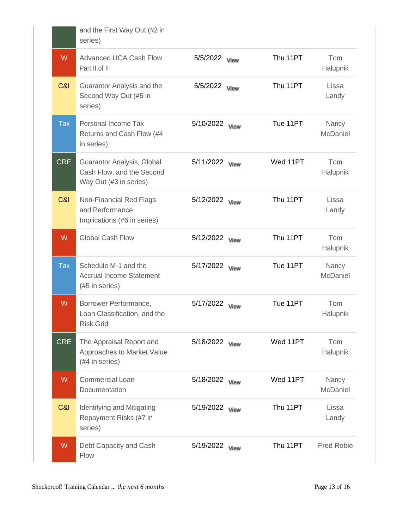|            | and the First Way Out (#2 in<br>series)                                           |                           |          |                          |
|------------|-----------------------------------------------------------------------------------|---------------------------|----------|--------------------------|
| W          | <b>Advanced UCA Cash Flow</b><br>Part II of II                                    | 5/5/2022 <sub>View</sub>  | Thu 11PT | Tom<br>Halupnik          |
| C&I        | Guarantor Analysis and the<br>Second Way Out (#5 in<br>series)                    | 5/5/2022 <sub>View</sub>  | Thu 11PT | Lissa<br>Landy           |
| <b>Tax</b> | Personal Income Tax<br>Returns and Cash Flow (#4<br>in series)                    | 5/10/2022<br>View         | Tue 11PT | Nancy<br>McDaniel        |
| <b>CRE</b> | Guarantor Analysis, Global<br>Cash Flow, and the Second<br>Way Out (#3 in series) | 5/11/2022 <sub>View</sub> | Wed 11PT | Tom<br>Halupnik          |
| C&I        | Non-Financial Red Flags<br>and Performance<br>Implications (#6 in series)         | 5/12/2022 <sub>View</sub> | Thu 11PT | Lissa<br>Landy           |
| W          | <b>Global Cash Flow</b>                                                           | 5/12/2022 Mew             | Thu 11PT | Tom<br>Halupnik          |
| <b>Tax</b> | Schedule M-1 and the<br><b>Accrual Income Statement</b><br>(#5 in series)         | 5/17/2022 Mew             | Tue 11PT | Nancy<br>McDaniel        |
| W          | Borrower Performance,<br>Loan Classification, and the<br><b>Risk Grid</b>         | 5/17/2022 <sub>View</sub> | Tue 11PT | Tom<br>Halupnik          |
| <b>CRE</b> | The Appraisal Report and<br>Approaches to Market Value<br>(#4 in series)          | 5/18/2022 Mew             | Wed 11PT | Tom<br>Halupnik          |
| W          | <b>Commercial Loan</b><br>Documentation                                           | 5/18/2022 <sub>View</sub> | Wed 11PT | Nancy<br><b>McDaniel</b> |
| C&I        | Identifying and Mitigating<br>Repayment Risks (#7 in<br>series)                   | 5/19/2022 Mew             | Thu 11PT | Lissa<br>Landy           |
| W          | Debt Capacity and Cash<br>Flow                                                    | 5/19/2022 Mew             | Thu 11PT | <b>Fred Robie</b>        |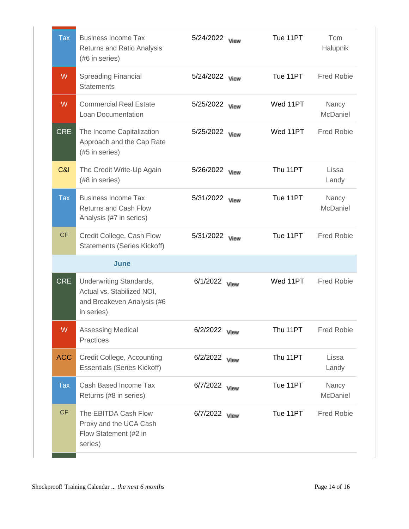| <b>Tax</b> | <b>Business Income Tax</b><br><b>Returns and Ratio Analysis</b><br>(#6 in series)                 | 5/24/2022 <sub>Mew</sub>  | Tue 11PT | Tom<br>Halupnik          |
|------------|---------------------------------------------------------------------------------------------------|---------------------------|----------|--------------------------|
| W          | <b>Spreading Financial</b><br><b>Statements</b>                                                   | 5/24/2022 Mew             | Tue 11PT | <b>Fred Robie</b>        |
| W          | <b>Commercial Real Estate</b><br>Loan Documentation                                               | 5/25/2022 <sub>View</sub> | Wed 11PT | Nancy<br>McDaniel        |
| <b>CRE</b> | The Income Capitalization<br>Approach and the Cap Rate<br>(#5 in series)                          | 5/25/2022 Mew             | Wed 11PT | <b>Fred Robie</b>        |
| C&I        | The Credit Write-Up Again<br>(#8 in series)                                                       | 5/26/2022 Mew             | Thu 11PT | Lissa<br>Landy           |
| <b>Tax</b> | <b>Business Income Tax</b><br><b>Returns and Cash Flow</b><br>Analysis (#7 in series)             | 5/31/2022 Mew             | Tue 11PT | Nancy<br>McDaniel        |
| <b>CF</b>  | Credit College, Cash Flow<br><b>Statements (Series Kickoff)</b>                                   | 5/31/2022 <sub>View</sub> | Tue 11PT | <b>Fred Robie</b>        |
|            | June                                                                                              |                           |          |                          |
| <b>CRE</b> | Underwriting Standards,<br>Actual vs. Stabilized NOI,<br>and Breakeven Analysis (#6<br>in series) | 6/1/2022 <sub>View</sub>  | Wed 11PT | <b>Fred Robie</b>        |
| W.         | Assessing Medical<br>Practices                                                                    | 6/2/2022 <sub>View</sub>  | Thu 11PT | <b>Fred Robie</b>        |
| <b>ACC</b> | Credit College, Accounting<br><b>Essentials (Series Kickoff)</b>                                  | 6/2/2022 <sub>View</sub>  | Thu 11PT | Lissa<br>Landy           |
| <b>Tax</b> | Cash Based Income Tax<br>Returns (#8 in series)                                                   | 6/7/2022 <sub>View</sub>  | Tue 11PT | Nancy<br><b>McDaniel</b> |
| <b>CF</b>  | The EBITDA Cash Flow<br>Proxy and the UCA Cash<br>Flow Statement (#2 in<br>series)                | 6/7/2022 <sub>View</sub>  | Tue 11PT | <b>Fred Robie</b>        |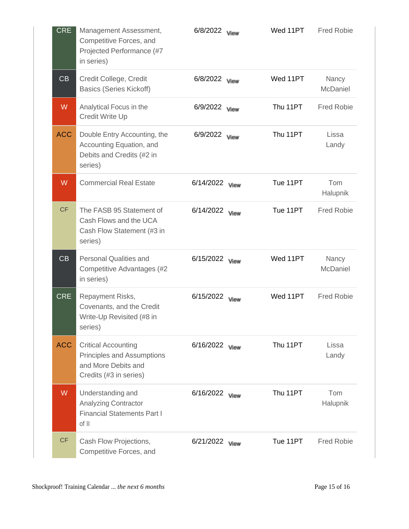| CRE        | Management Assessment,<br>Competitive Forces, and<br>Projected Performance (#7<br>in series)                     | 6/8/2022 <sub>View</sub>  | Wed 11PT | <b>Fred Robie</b> |
|------------|------------------------------------------------------------------------------------------------------------------|---------------------------|----------|-------------------|
| CB         | Credit College, Credit<br><b>Basics (Series Kickoff)</b>                                                         | 6/8/2022 <sub>View</sub>  | Wed 11PT | Nancy<br>McDaniel |
| W          | Analytical Focus in the<br><b>Credit Write Up</b>                                                                | 6/9/2022 <sub>View</sub>  | Thu 11PT | <b>Fred Robie</b> |
| <b>ACC</b> | Double Entry Accounting, the<br>Accounting Equation, and<br>Debits and Credits (#2 in<br>series)                 | 6/9/2022 <sub>View</sub>  | Thu 11PT | Lissa<br>Landy    |
| W          | <b>Commercial Real Estate</b>                                                                                    | 6/14/2022 Mew             | Tue 11PT | Tom<br>Halupnik   |
| CF         | The FASB 95 Statement of<br>Cash Flows and the UCA<br>Cash Flow Statement (#3 in<br>series)                      | 6/14/2022 <sub>View</sub> | Tue 11PT | <b>Fred Robie</b> |
| CB         | Personal Qualities and<br>Competitive Advantages (#2)<br>in series)                                              | 6/15/2022 Mew             | Wed 11PT | Nancy<br>McDaniel |
| <b>CRE</b> | Repayment Risks,<br>Covenants, and the Credit<br>Write-Up Revisited (#8 in<br>series)                            | 6/15/2022 <sub>View</sub> | Wed 11PT | <b>Fred Robie</b> |
| <b>ACC</b> | <b>Critical Accounting</b><br><b>Principles and Assumptions</b><br>and More Debits and<br>Credits (#3 in series) | 6/16/2022 <sub>View</sub> | Thu 11PT | Lissa<br>Landy    |
| W          | Understanding and<br><b>Analyzing Contractor</b><br><b>Financial Statements Part I</b><br>of II                  | 6/16/2022 Mew             | Thu 11PT | Tom<br>Halupnik   |
| <b>CF</b>  | Cash Flow Projections,<br>Competitive Forces, and                                                                | 6/21/2022 Mew             | Tue 11PT | <b>Fred Robie</b> |